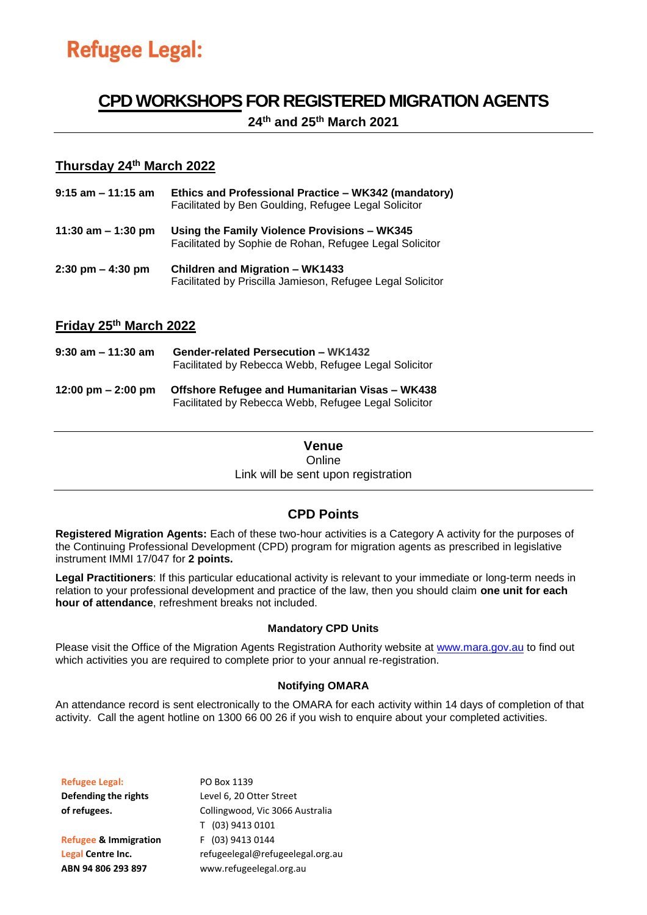# **CPD WORKSHOPSFOR REGISTERED MIGRATION AGENTS**

**24 th and 25 th March 2021**

### **Thursday 24th March 2022**

| 9:15 am – 11:15 am                  | Ethics and Professional Practice - WK342 (mandatory)<br>Facilitated by Ben Goulding, Refugee Legal Solicitor |
|-------------------------------------|--------------------------------------------------------------------------------------------------------------|
| 11:30 am $-$ 1:30 pm                | Using the Family Violence Provisions - WK345<br>Facilitated by Sophie de Rohan, Refugee Legal Solicitor      |
| $2:30 \text{ pm} - 4:30 \text{ pm}$ | Children and Migration - WK1433<br>Facilitated by Priscilla Jamieson, Refugee Legal Solicitor                |

## **Friday 25 th March 2022**

| 9:30 am – 11:30 am   | <b>Gender-related Persecution - WK1432</b><br>Facilitated by Rebecca Webb, Refugee Legal Solicitor      |
|----------------------|---------------------------------------------------------------------------------------------------------|
| 12:00 pm $-$ 2:00 pm | Offshore Refugee and Humanitarian Visas – WK438<br>Facilitated by Rebecca Webb, Refugee Legal Solicitor |

### **Venue** Online Link will be sent upon registration

## **CPD Points**

**Registered Migration Agents:** Each of these two-hour activities is a Category A activity for the purposes of the Continuing Professional Development (CPD) program for migration agents as prescribed in legislative instrument IMMI 17/047 for **2 points.** 

**Legal Practitioners**: If this particular educational activity is relevant to your immediate or long-term needs in relation to your professional development and practice of the law, then you should claim **one unit for each hour of attendance**, refreshment breaks not included.

### **Mandatory CPD Units**

Please visit the Office of the Migration Agents Registration Authority website at [www.mara.gov.au](http://www.mara.com.au/) to find out which activities you are required to complete prior to your annual re-registration.

### **Notifying OMARA**

An attendance record is sent electronically to the OMARA for each activity within 14 days of completion of that activity. Call the agent hotline on 1300 66 00 26 if you wish to enquire about your completed activities.

| <b>Refugee Legal:</b>            | PO Box 1139                      |
|----------------------------------|----------------------------------|
| Defending the rights             | Level 6, 20 Otter Street         |
| of refugees.                     | Collingwood, Vic 3066 Australia  |
|                                  | T (03) 9413 0101                 |
| <b>Refugee &amp; Immigration</b> | F (03) 9413 0144                 |
| Legal Centre Inc.                | refugeelegal@refugeelegal.org.au |
| ABN 94 806 293 897               | www.refugeelegal.org.au          |